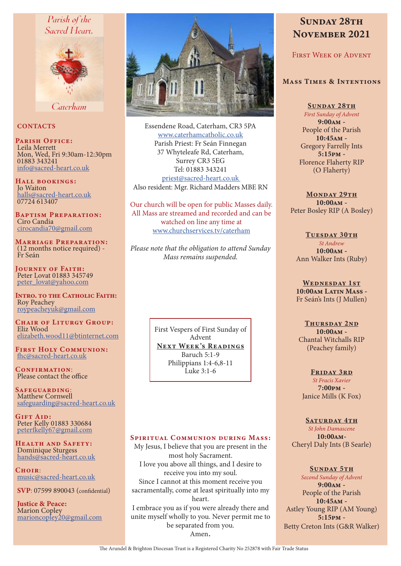# Parish of the Sacred Heart.



Caterham

### **CONTACTS**

PARISH OFFICE: Leila Merrett Mon, Wed, Fri 9:30am-12:30pm 01883 343241 info@sacred-heart.co.uk

Hall bookings: Jo Waiton halls@sacred-heart.co.uk 07724 613407

Baptism Preparation: Ciro Candia cirocandia70@gmail.com

Marriage Preparation: (12 months notice required) - Fr Seán

JOURNEY OF FAITH: Peter Lovat 01883 345749 peter\_lovat@yahoo.com

Intro. to the Catholic Faith: Roy Peachey roypeacheyuk@gmail.com

CHAIR OF LITURGY GROUP: Eliz Wood elizabeth.wood11@btinternet.com

First Holy Communion: fhc@sacred-heart.co.uk

CONFIRMATION: Please contact the office

Safeguarding: Matthew Cornwell safeguarding@sacred-heart.co.uk

GIFT AID: Peter Kelly 01883 330684 peterfkelly67@gmail.com

Health and Safety: Dominique Sturgess hands@sacred-heart.co.uk

 $C$ HOIP: music@sacred-heart.co.uk

SVP: 07599 890043 (confidential)

Justice & Peace: Marion Copley marioncopley20@gmail.com



Essendene Road, Caterham, CR3 5PA www.caterhamcatholic.co.uk Parish Priest: Fr Seán Finnegan 37 Whyteleafe Rd, Caterham, Surrey CR3 5EG Tel: 01883 343241 priest@sacred-heart.co.uk Also resident: Mgr. Richard Madders MBE RN

Our church will be open for public Masses daily. All Mass are streamed and recorded and can be watched on line any time at www.churchservices.tv/caterham

*Please note that the obligation to attend Sunday Mass remains suspended.*

> First Vespers of First Sunday of Advent NEXT WEEK'S READINGS Baruch 5:1-9 Philippians 1:4-6,8-11 Luke 3:1-6

# SPIRITUAL COMMUNION DURING MASS:

My Jesus, I believe that you are present in the most holy Sacrament. I love you above all things, and I desire to receive you into my soul. Since I cannot at this moment receive you sacramentally, come at least spiritually into my heart. I embrace you as if you were already there and unite myself wholly to you. Never permit me to be separated from you. Amen.

# SUNDAY 28TH November 2021

FIRST WEEK OF ADVENT

# Mass Times & Intentions

SUNDAY 28TH

*First Sunday of Advent* 9:00am - People of the Parish 10:45am - Gregory Farrelly Ints 5:15pm - Florence Flaherty RIP (O Flaherty)

MONDAY 29TH 10:00am - Peter Bosley RIP (A Bosley)

#### TUESDAY 30TH *St Andrew*

10:00am - Ann Walker Ints (Ruby)

WEDNESDAY 1ST 10:00am Latin Mass -Fr Seán's Ints (J Mullen)

THURSDAY 2ND 10:00am - Chantal Witchalls RIP (Peachey family)

FRIDAY 3RD *St Fracis Xavier* 7:00pm - Janice Mills (K Fox)

SATURDAY 4TH

*St John Damascene* 10:00am-Cheryl Daly Ints (B Searle)

SUNDAY 5TH

*Second Sunday of Advent* 9:00am - People of the Parish 10:45am - Astley Young RIP (AM Young) 5:15pm - Betty Creton Ints (G&R Walker)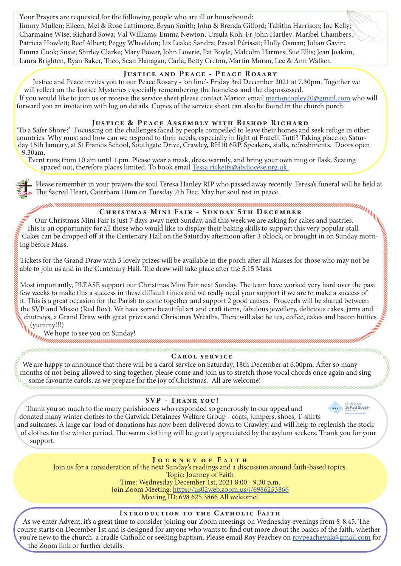Your Prayers are requested for the following people who are ill or housebound: Jimmy Mullen; Eileen, Mel & Rose Lattimore; Bryan Smith; John & Brenda Gilford; Tabitha Harrison; Joe Kelly; Charmaine Wise; Richard Sowa; Val Williams; Emma Newton; Ursula Koh; Fr John Hartley; Maribel Chambers; Patricia Howlett; Reef Albert; Peggy Wheeldon; Liz Leake; Sandra; Pascal Périssat; Holly Osman; Julian Gavin; Emma Cook; Susie; Shirley Clarke; Mary Power, John Lowrie, Pat Boyle, Malcolm Harmes, Sue Ellis; Jean Joakim, Laura Brighten, Ryan Baker, Theo, Sean Flanagan, Carla, Betty Creton, Martin Moran, Lee & Ann Walker.

# Justice and Peace - Peace Rosary

Justice and Peace invites you to our Peace Rosary - 'on line'- Friday 3rd December 2021 at 7.30pm. Together we will reflect on the Justice Mysteries especially remembering the homeless and the dispossessed. If you would like to join us or receive the service sheet please contact Marion email marioncopley20@gmail.com who will forward you an invitation with log on details. Copies of the service sheet can also be found in the church porch.

# JUSTICE & PEACE ASSEMBLY WITH BISHOP RICHARD

'To a Safer Shore?' Focussing on the challenges faced by people compelled to leave their homes and seek refuge in other day 15th January, at St Francis School, Southgate Drive, Crawley, RH10 6RP. Speakers, stalls, refreshments. Doors open 9.30am.

Event runs from 10 am until 1 pm. Please wear a mask, dress warmly, and bring your own mug or flask. Seating spaced out, therefore places limited. To book email Tessa.ricketts@abdiocese.org.uk

The Sacred Heart, Caterham 10am on Tuesday 7th Dec. May her soul rest in peace.

Christmas Mini Fair - Sunday 5th December

Our Christmas Mini Fair is just 7 days away next Sunday, and this week we are asking for cakes and pastries. This is an opportunity for all those who would like to display their baking skills to support this very popular stall. Cakes can be dropped off at the Centenary Hall on the Saturday afternoon after 3 o'clock, or brought in on Sunday morning before Mass.

Tickets for the Grand Draw with 5 lovely prizes will be available in the porch after all Masses for those who may not be able to join us and in the Centenary Hall. The draw will take place after the 5.15 Mass.

Please remember in your prayers the soul Teresa Hanley RIP who passed away recently. Teresa's funeral will be held at<br>The Sacred Heart, Caterham 10am on Tuesday 7th Dec. May her soul rest in peace.<br>
Sour Christmas Mini Fai Most importantly, PLEASE support our Christmas Mini Fair next Sunday. The team have worked very hard over the past few weeks to make this a success in these difficult times and we really need your support if we are to make a success of it. This is a great occasion for the Parish to come together and support 2 good causes. Proceeds will be shared between the SVP and Missio (Red Box). We have some beautiful art and craft items, fabulous jewellery, delicious cakes, jams and chutneys, a Grand Draw with great prizes and Christmas Wreaths. There will also be tea, coffee, cakes and bacon butties  $\int_{\|h\|_{L}}^{\|f\|_{\|_{L}}(yump)!!}$  (yummy!!!) (yummy!!!)

We hope to see you on Sunday!

# Carol service

We are happy to announce that there will be a carol service on Saturday, 18th December at 6.00pm. After so many months of not being allowed to sing together, please come and join us to stretch those vocal chords once again and sing some favourite carols, as we prepare for the joy of Christmas. All are welcome!

# SVP - Thank you!

Thank you so much to the many parishioners who responded so generously to our appeal and

donated many winter clothes to the Gatwick Detainees Welfare Group - coats, jumpers, shoes, T-shirts and suitcases. A large car-load of donations has now been delivered down to Crawley, and will help to replenish the stock of clothes for the winter period. The warm clothing will be greatly appreciated by the asylum seekers. Thank you for your

support.

# J o u r n e y o f F a i t h

Join us for a consideration of the next Sunday's readings and a discussion around faith-based topics. Topic: Journey of Faith Time: Wednesday December 1st, 2021 8:00 - 9.30 p.m. Join Zoom Meeting: https://us02web.zoom.us/j/6986253866 Meeting ID: 698 625 3866 All welcome!

# Introduction to the Catholic Faith

As we enter Advent, it's a great time to consider joining our Zoom meetings on Wednesday evenings from 8-8.45. The course starts on December 1st and is designed for anyone who wants to find out more about the basics of the faith, whether you're new to the church, a cradle Catholic or seeking baptism. Please email Roy Peachey on roypeacheyuk@gmail.com for the Zoom link or further details.



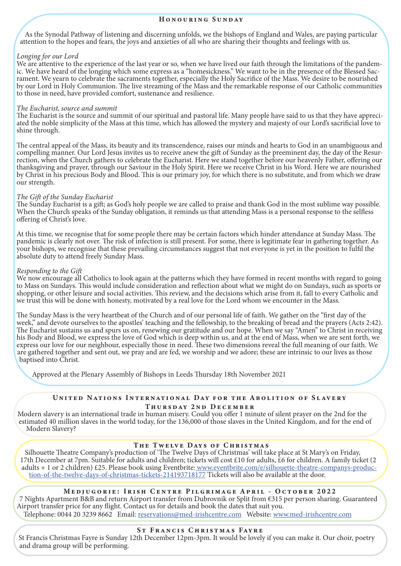#### Honouring Sunday

As the Synodal Pathway of listening and discerning unfolds, we the bishops of England and Wales, are paying particular attention to the hopes and fears, the joys and anxieties of all who are sharing their thoughts and feelings with us.

#### *Longing for our Lord*

We are attentive to the experience of the last year or so, when we have lived our faith through the limitations of the pandemic. We have heard of the longing which some express as a "homesickness." We want to be in the presence of the Blessed Sacrament. We yearn to celebrate the sacraments together, especially the Holy Sacrifice of the Mass. We desire to be nourished by our Lord in Holy Communion. The live streaming of the Mass and the remarkable response of our Catholic communities to those in need, have provided comfort, sustenance and resilience.

*The Eucharist, source and summit* ated the noble simplicity of the Mass at this time, which has allowed the mystery and majesty of our Lord's sacrificial love to shine through.

The central appeal of the Mass, its beauty and its transcendence, raises our minds and hearts to God in an unambiguous and compelling manner. Our Lord Jesus invites us to receive anew the gift of Sunday as the preeminent d rection, when the Church gathers to celebrate the Eucharist. Here we stand together before our heavenly Father, offering our thanksgiving and prayer, through our Saviour in the Holy Spirit. Here we receive Christ in his Word. Here we are nourished by Christ in his precious Body and Blood. This is our primary joy, for which there is no substitute, and from which we draw our strength.

#### *The Gift of the Sunday Eucharist*

The Sunday Eucharist is a gift; as God's holy people we are called to praise and thank God in the most sublime way possible. When the Church speaks of the Sunday obligation, it reminds us that attending Mass is a personal response to the selfless offering of Christ's love.

At this time, we recognise that for some people there may be certain factors which hinder attendance at Sunday Mass. The pandemic is clearly not over. The risk of infection is still present. For some, there is legitimate fear in gathering together. As your bishops, we recognise that these prevailing circumstances suggest that not everyone is yet in the position to fulfil the absolute duty to attend freely Sunday Mass.

#### *Responding to the Gift*

We now encourage all Catholics to look again at the patterns which they have formed in recent months with regard to going to Mass on Sundays. This would include consideration and reflection about what we might do on Sundays, such as sports or shopping, or other leisure and social activities. This review, and the decisions which arise from it, fall to every Catholic and we trust this will be done with honesty, motivated by a real love for the Lord whom we encounter in the Mass.

The Sunday Mass is the very heartbeat of the Church and of our personal life of faith. We gather on the "first day of the week," and devote ourselves to the apostles' teaching and the fellowship, to the breaking of bread and the prayers (Acts 2:42). The Eucharist sustains us and spurs us on, renewing our gratitude and our hope. When we say "Amen" to Christ in receiving his Body and Blood, we express the love of God which is deep within us, and at the end of Mass, when we are sent forth, we express our love for our neighbour, especially those in need. These two dimensions reveal the full meaning of our faith. We are gathered together and sent out, we pray and are fed, we worship and we adore; these are intrinsic to our lives as those baptised into Christ.

Approved at the Plenary Assembly of Bishops in Leeds Thursday 18th November 2021

# UNITED NATIONS INTERNATIONAL DAY FOR THE ABOLITION OF SLAVERY

Thursday 2nd December

Modern slavery is an international trade in human misery. Could you offer 1 minute of silent prayer on the 2nd for the estimated 40 million slaves in the world today, for the 136,000 of those slaves in the United Kingdom, and for the end of Modern Slavery?

#### The Twelve Days of Christmas

Silhouette Theatre Company's production of 'The Twelve Days of Christmas' will take place at St Mary's on Friday, 17th December at 7pm. Suitable for adults and children; tickets will cost £10 for adults, £6 for children. A family ticket (2 adults + 1 or 2 children) £25. Please book using Eventbrite:<u> www.eventbrite.com/e/silhouette-theatre-companys-produc-</u> tion-of-the-twelve-days-of-christmas-tickets-214193718177 Tickets will also be available at the door.

#### Medjugorie: Irish Centre Pilgrimage April - October 2022

7 Nights Apartment B&B and return Airport transfer from Dubrovnik or Split from €315 per person sharing. Guaranteed Airport transfer price for any flight. Contact us for details and book the dates that suit you.

# Telephone: 0044 20 3239 8662 Email: reservations@med-irishcentre.com Website: www.med-irishcentre.com

#### ST FRANCIS CHRISTMAS FAYRE

St Francis Christmas Fayre is Sunday 12th December 12pm-3pm. It would be lovely if you can make it. Our choir, poetry and drama group will be performing.